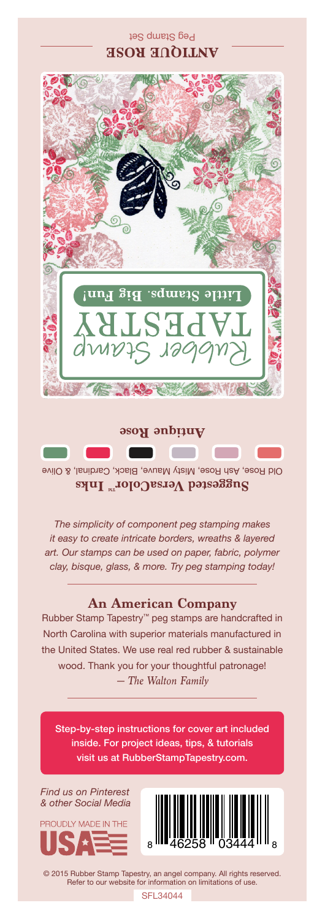## Peg Stamp Set **ANTIQUE ROSE**



Old Rose, Ash Rose, Misty Mauve, Black, Cardinal, & Olive Suggested VersaColor<sup>m</sup> Inks

*The simplicity of component peg stamping makes it easy to create intricate borders, wreaths & layered art. Our stamps can be used on paper, fabric, polymer clay, bisque, glass, & more. Try peg stamping today!*

## **An American Company**

*— The Walton Family* Rubber Stamp Tapestry™ peg stamps are handcrafted in North Carolina with superior materials manufactured in the United States. We use real red rubber & sustainable wood. Thank you for your thoughtful patronage!

Step-by-step instructions for cover art included inside. For project ideas, tips, & tutorials visit us at RubberStampTapestry.com.

*Find us on Pinterest & other Social Media*





© 2015 Rubber Stamp Tapestry, an angel company. All rights reserved. Refer to our website for information on limitations of use.